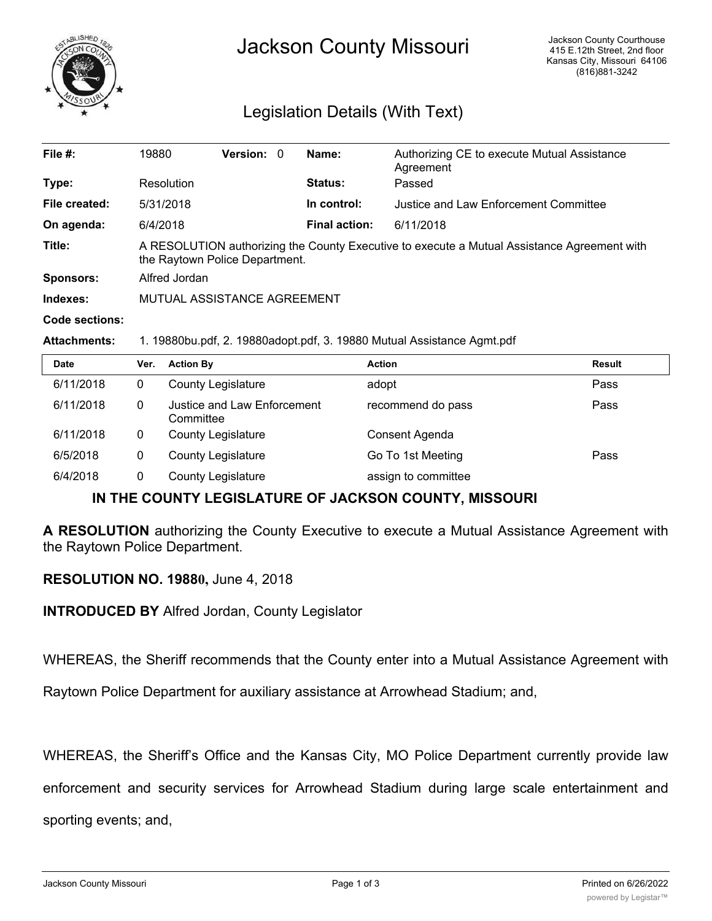

## Legislation Details (With Text)

| File $#$ :          | 19880                                                                                                                         | <b>Version: 0</b> |  | Name:                | Authorizing CE to execute Mutual Assistance<br>Agreement |  |  |
|---------------------|-------------------------------------------------------------------------------------------------------------------------------|-------------------|--|----------------------|----------------------------------------------------------|--|--|
| Type:               | Resolution                                                                                                                    |                   |  | <b>Status:</b>       | Passed                                                   |  |  |
| File created:       | 5/31/2018                                                                                                                     |                   |  | In control:          | Justice and Law Enforcement Committee                    |  |  |
| On agenda:          | 6/4/2018                                                                                                                      |                   |  | <b>Final action:</b> | 6/11/2018                                                |  |  |
| Title:              | A RESOLUTION authorizing the County Executive to execute a Mutual Assistance Agreement with<br>the Raytown Police Department. |                   |  |                      |                                                          |  |  |
| Sponsors:           | Alfred Jordan                                                                                                                 |                   |  |                      |                                                          |  |  |
| Indexes:            | MUTUAL ASSISTANCE AGREEMENT                                                                                                   |                   |  |                      |                                                          |  |  |
| Code sections:      |                                                                                                                               |                   |  |                      |                                                          |  |  |
| <b>Attachments:</b> | 1. 19880bu.pdf, 2. 19880adopt.pdf, 3. 19880 Mutual Assistance Agmt.pdf                                                        |                   |  |                      |                                                          |  |  |

| <b>Date</b> | Ver. | <b>Action By</b>                         | <b>Action</b>       | <b>Result</b> |
|-------------|------|------------------------------------------|---------------------|---------------|
| 6/11/2018   | 0    | <b>County Legislature</b>                | adopt               | Pass          |
| 6/11/2018   | 0    | Justice and Law Enforcement<br>Committee | recommend do pass   | Pass          |
| 6/11/2018   | 0    | <b>County Legislature</b>                | Consent Agenda      |               |
| 6/5/2018    | 0    | <b>County Legislature</b>                | Go To 1st Meeting   | Pass          |
| 6/4/2018    | 0    | <b>County Legislature</b>                | assign to committee |               |

## **IN THE COUNTY LEGISLATURE OF JACKSON COUNTY, MISSOURI**

**A RESOLUTION** authorizing the County Executive to execute a Mutual Assistance Agreement with the Raytown Police Department.

**RESOLUTION NO. 19880,** June 4, 2018

**INTRODUCED BY** Alfred Jordan, County Legislator

WHEREAS, the Sheriff recommends that the County enter into a Mutual Assistance Agreement with

Raytown Police Department for auxiliary assistance at Arrowhead Stadium; and,

WHEREAS, the Sheriff's Office and the Kansas City, MO Police Department currently provide law

enforcement and security services for Arrowhead Stadium during large scale entertainment and

sporting events; and,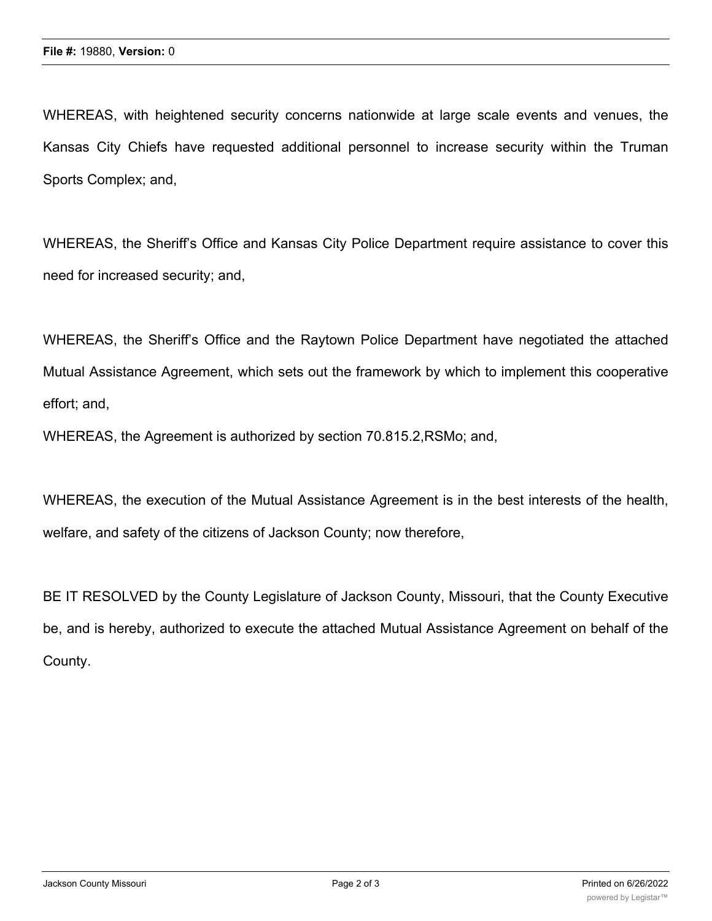WHEREAS, with heightened security concerns nationwide at large scale events and venues, the Kansas City Chiefs have requested additional personnel to increase security within the Truman Sports Complex; and,

WHEREAS, the Sheriff's Office and Kansas City Police Department require assistance to cover this need for increased security; and,

WHEREAS, the Sheriff's Office and the Raytown Police Department have negotiated the attached Mutual Assistance Agreement, which sets out the framework by which to implement this cooperative effort; and,

WHEREAS, the Agreement is authorized by section 70.815.2,RSMo; and,

WHEREAS, the execution of the Mutual Assistance Agreement is in the best interests of the health, welfare, and safety of the citizens of Jackson County; now therefore,

BE IT RESOLVED by the County Legislature of Jackson County, Missouri, that the County Executive be, and is hereby, authorized to execute the attached Mutual Assistance Agreement on behalf of the County.